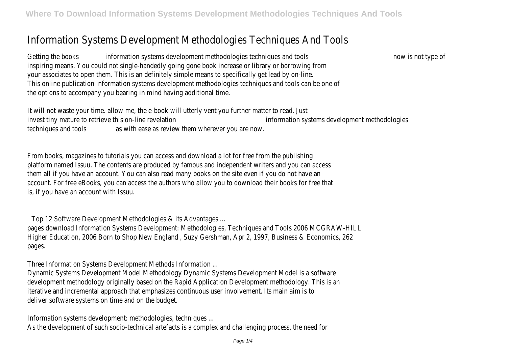## Information Systems Development Methodologies Techniques And Tools

Getting the books information systems development methodologies techniques and tools how is not type of inspiring means. You could not single-handedly going gone book increase or library or borrowing from your associates to open them. This is an definitely simple means to specifically get lead by on-line. This online publication information systems development methodologies techniques and tools can be one of the options to accompany you bearing in mind having additional time.

It will not waste your time. allow me, the e-book will utterly vent you further matter to read. Just invest tiny mature to retrieve this on-line revelation information systems development methodologies techniques and tools as with ease as review them wherever you are now.

From books, magazines to tutorials you can access and download a lot for free from the publishing platform named Issuu. The contents are produced by famous and independent writers and you can access them all if you have an account. You can also read many books on the site even if you do not have an account. For free eBooks, you can access the authors who allow you to download their books for free that is, if you have an account with Issuu.

Top 12 Software Development Methodologies & its Advantages ...

pages download Information Systems Development: Methodologies, Techniques and Tools 2006 MCGRAW-HILL Higher Education, 2006 Born to Shop New England , Suzy Gershman, Apr 2, 1997, Business & Economics, 262 pages.

Three Information Systems Development Methods Information ...

Dynamic Systems Development Model Methodology Dynamic Systems Development Model is a software development methodology originally based on the Rapid Application Development methodology. This is an iterative and incremental approach that emphasizes continuous user involvement. Its main aim is to deliver software systems on time and on the budget.

Information systems development: methodologies, techniques ... As the development of such socio-technical artefacts is a complex and challenging process, the need for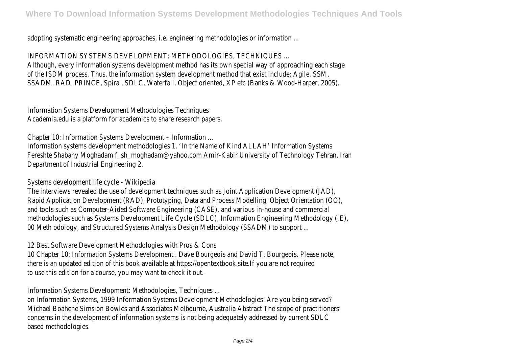adopting systematic engineering approaches, i.e. engineering methodologies or information ...

INFORMATION SYSTEMS DEVELOPMENT: METHODOLOGIES, TECHNIQUES ...

Although, every information systems development method has its own special way of approaching each stage of the ISDM process. Thus, the information system development method that exist include: Agile, SSM, SSADM, RAD, PRINCE, Spiral, SDLC, Waterfall, Object oriented, XP etc (Banks & Wood-Harper, 2005).

Information Systems Development Methodologies Techniques Academia.edu is a platform for academics to share research papers.

Chapter 10: Information Systems Development – Information ...

Information systems development methodologies 1. 'In the Name of Kind ALLAH' Information Systems Fereshte Shabany Moghadam f\_sh\_moghadam@yahoo.com Amir-Kabir University of Technology Tehran, Iran Department of Industrial Engineering 2.

Systems development life cycle - Wikipedia

The interviews revealed the use of development techniques such as Joint Application Development (JAD), Rapid Application Development (RAD), Prototyping, Data and Process Modelling, Object Orientation (OO), and tools such as Computer-Aided Software Engineering (CASE), and various in-house and commercial methodologies such as Systems Development Life Cycle (SDLC), Information Engineering Methodology (IE), 00 Meth odology, and Structured Systems Analysis Design Methodology (SSADM) to support ...

12 Best Software Development Methodologies with Pros & Cons

10 Chapter 10: Information Systems Development . Dave Bourgeois and David T. Bourgeois. Please note, there is an updated edition of this book available at https://opentextbook.site.If you are not required to use this edition for a course, you may want to check it out.

Information Systems Development: Methodologies, Techniques ...

on Information Systems, 1999 Information Systems Development Methodologies: Are you being served? Michael Boahene Simsion Bowles and Associates Melbourne, Australia Abstract The scope of practitioners' concerns in the development of information systems is not being adequately addressed by current SDLC based methodologies.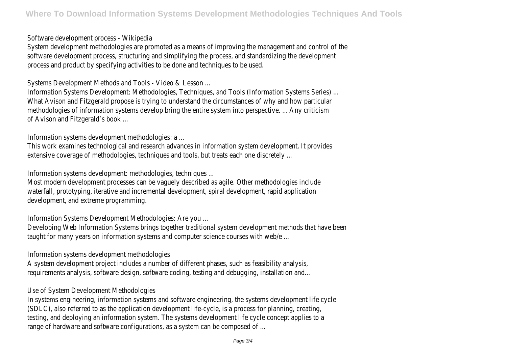Software development process - Wikipedia

System development methodologies are promoted as a means of improving the management and control of the software development process, structuring and simplifying the process, and standardizing the development process and product by specifying activities to be done and techniques to be used.

Systems Development Methods and Tools - Video & Lesson ...

Information Systems Development: Methodologies, Techniques, and Tools (Information Systems Series) ... What Avison and Fitzgerald propose is trying to understand the circumstances of why and how particular methodologies of information systems develop bring the entire system into perspective. ... Any criticism of Avison and Fitzgerald's book ...

Information systems development methodologies: a ...

This work examines technological and research advances in information system development. It provides extensive coverage of methodologies, techniques and tools, but treats each one discretely ...

Information systems development: methodologies, techniques ...

Most modern development processes can be vaguely described as agile. Other methodologies include waterfall, prototyping, iterative and incremental development, spiral development, rapid application development, and extreme programming.

Information Systems Development Methodologies: Are you ...

Developing Web Information Systems brings together traditional system development methods that have been taught for many years on information systems and computer science courses with web/e ...

Information systems development methodologies

A system development project includes a number of different phases, such as feasibility analysis, requirements analysis, software design, software coding, testing and debugging, installation and...

## Use of System Development Methodologies

In systems engineering, information systems and software engineering, the systems development life cycle (SDLC), also referred to as the application development life-cycle, is a process for planning, creating, testing, and deploying an information system. The systems development life cycle concept applies to a range of hardware and software configurations, as a system can be composed of ...